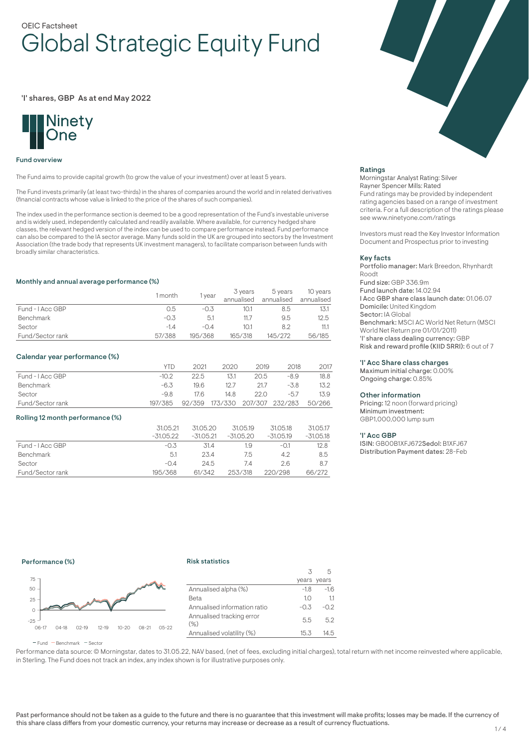# OEIC Factsheet Global Strategic Equity Fund

# 'I' shares, GBP As at end May 2022



#### Fund overview

The Fund aims to provide capital growth (to grow the value of your investment) over at least 5 years.

The Fund invests primarily (at least two-thirds) in the shares of companies around the world and in related derivatives (financial contracts whose value is linked to the price of the shares of such companies).

The index used in the performance section is deemed to be a good representation of the Fund's investable universe and is widely used, independently calculated and readily available. Where available, for currency hedged share classes, the relevant hedged version of the index can be used to compare performance instead. Fund performance can also be compared to the IA sector average. Many funds sold in the UK are grouped into sectors by the Investment Association (the trade body that represents UK investment managers), to facilitate comparison between funds with broadly similar characteristics.

## Monthly and annual average performance (%)

|                  | 1 month | vear    | 3 years<br>annualised | 5 years<br>annualised | 10 years<br>annualised |
|------------------|---------|---------|-----------------------|-----------------------|------------------------|
| Fund - I Acc GBP | 0.5     | $-0.3$  | 10.1                  | 8.5                   | 13.1                   |
| <b>Benchmark</b> | $-0.3$  | 5.1     | 11.7                  | 9.5                   | 12.5                   |
| Sector           | $-1.4$  | $-0.4$  | 10.1                  | 8.2                   | 11.1                   |
| Fund/Sector rank | 57/388  | 195/368 | 165/318               | 145/272               | 56/185                 |

## Calendar year performance (%)

|                  | <b>YTD</b> | 2021   | 2020                           | 2019 | 2018   | 2017 |
|------------------|------------|--------|--------------------------------|------|--------|------|
| Fund - I Acc GBP | $-102$     | 22.5   | 13.1                           | 20.5 | $-8.9$ | 18.8 |
| Benchmark        | -6.3       | 196    | 12.7                           | 21.7 | $-3.8$ | 13.2 |
| Sector           | -9.8       | 17.6.  | 14.8                           | 22.O | $-5.7$ | 13.9 |
| Fund/Sector rank | 197/385    | 92/359 | 173/330 207/307 232/283 50/266 |      |        |      |

#### Rolling 12 month performance (%)

|                  | 31.05.21    | 31.05.20    | 31.05.19    | 31.05.18    | 31.05.17    |
|------------------|-------------|-------------|-------------|-------------|-------------|
|                  | $-31.05.22$ | $-31.05.21$ | $-31.05.20$ | $-31.05.19$ | $-31.05.18$ |
| Fund - I Acc GBP | $-0.3$      | 31.4        | 1.9         | $-0.1$      | 12.8        |
| Benchmark        | 5.1         | 23.4        | 7.5         | 4.2         | 8.5         |
| Sector           | $-0.4$      | 24.5        | 7.4         | 2.6         | 8.7         |
| Fund/Sector rank | 195/368     | 61/342      | 253/318     | 220/298     | 66/272      |



## Ratings

Morningstar Analyst Rating: Silver Rayner Spencer Mills: Rated Fund ratings may be provided by independent rating agencies based on a range of investment criteria. For a full description of the ratings please see www.ninetyone.com/ratings

Investors must read the Key Investor Information Document and Prospectus prior to investing

#### Key facts

Portfolio manager: Mark Breedon, Rhynhardt Roodt Fund size: GBP 336.9m Fund launch date: 14.02.94 I Acc GBP share class launch date: 01.06.07 Domicile: United Kingdom Sector: IA Global Benchmark: MSCI AC World Net Return (MSCI World Net Return pre 01/01/2011) 'I' share class dealing currency: GBP Risk and reward profile (KIID SRRI): 6 out of 7

## 'I' Acc Share class charges

Maximum initial charge: 0.00% Ongoing charge: 0.85%

## Other information

Pricing: 12 noon (forward pricing) Minimum investment: GBP1,000,000 lump sum

#### 'I' Acc GBP

ISIN: GB00B1XFJ672Sedol: B1XFJ67 Distribution Payment dates: 28-Feb

# Performance (%)

#### Risk statistics



|                                     |        | years years |
|-------------------------------------|--------|-------------|
| Annualised alpha (%)                | $-1.8$ | $-1.6$      |
| Beta                                | 10     | 11          |
| Annualised information ratio        | $-0.3$ | $-0.2$      |
| Annualised tracking error<br>$(\%)$ | 5.5    | 5.2         |
| Annualised volatility (%)           | 15.3   | 14.5        |
|                                     |        |             |

 $\overline{\mathbf{3}}$ 

5

 $F$ und  $B$ Benchmark  $F$ Sector

Performance data source: © Morningstar, dates to 31.05.22, NAV based, (net of fees, excluding initial charges), total return with net income reinvested where applicable, in Sterling. The Fund does not track an index, any index shown is for illustrative purposes only.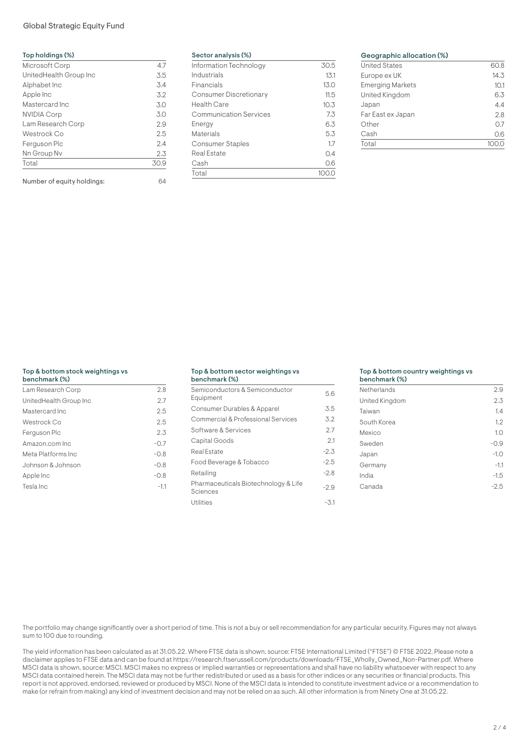# Global Strategic Equity Fund

| Top holdings (%)       |      |
|------------------------|------|
| Microsoft Corp         | 4.7  |
| UnitedHealth Group Inc | 3.5  |
| Alphabet Inc           | 3.4  |
| Apple Inc              | 3.2  |
| Mastercard Inc         | 3.0  |
| <b>NVIDIA Corp</b>     | 3.0  |
| Lam Research Corp      | 2.9  |
| Westrock Co            | 2.5  |
| Ferguson Plc           | 2.4  |
| Nn Group Nv            | 2.3  |
| Total                  | 30.9 |

Number of equity holdings: 64

| Sector analysis (%) |  |  |
|---------------------|--|--|
|---------------------|--|--|

| Information Technology        | 30.5  |
|-------------------------------|-------|
| Industrials                   | 13.1  |
| Financials                    | 13.0  |
| <b>Consumer Discretionary</b> | 11.5  |
| Health Care                   | 10.3  |
| <b>Communication Services</b> | 7.3   |
| Energy                        | 6.3   |
| Materials                     | 5.3   |
| <b>Consumer Staples</b>       | 1.7   |
| Real Estate                   | 0.4   |
| Cash                          | 0.6   |
| Total                         | 100.C |
|                               |       |

# Geographic allocation (%)

| <b>United States</b>    | 60.8 |
|-------------------------|------|
| Europe ex UK            | 14.3 |
| <b>Emerging Markets</b> | 10.1 |
| United Kingdom          | 6.3  |
| Japan                   | 4.4  |
| Far East ex Japan       | 2.8  |
| Other                   | 0.7  |
| Cash                    | 0.6  |
| Total                   |      |
|                         |      |

# Top & bottom stock weightings vs

| benchmark (%)          |        |
|------------------------|--------|
| Lam Research Corp      | 2.8    |
| UnitedHealth Group Inc | 2.7    |
| Mastercard Inc         | 2.5    |
| Westrock Co            | 2.5    |
| Ferguson Plc           | 2.3    |
| Amazon.com Inc.        | $-0.7$ |
| Meta Platforms Inc     | $-0.8$ |
| Johnson & Johnson      | $-0.8$ |
| Apple Inc              | $-0.8$ |
| Tesla Inc              | $-1.1$ |

#### Top & bottom sector weightings vs benchmark (%)

| <u>,,,,,,,,,,,,,,,,,,</u>                        |        |
|--------------------------------------------------|--------|
| Semiconductors & Semiconductor<br>Equipment      | 5.6    |
| Consumer Durables & Apparel                      | 3.5    |
| Commercial & Professional Services               | 3.2    |
| Software & Services                              | 2.7    |
| Capital Goods                                    | 2.1    |
| Real Estate                                      | $-2.3$ |
| Food Beverage & Tobacco                          | $-2.5$ |
| Retailing                                        | $-2.8$ |
| Pharmaceuticals Biotechnology & Life<br>Sciences | $-2.9$ |
| <b>Utilities</b>                                 | -3.1   |

## Top & bottom country weightings vs

| <b>Netherlands</b> | 2.9    |
|--------------------|--------|
| United Kingdom     | 2.3    |
| Taiwan             | 1.4    |
| South Korea        | 1.2    |
| Mexico             | 1.0    |
| Sweden             | $-0.9$ |
| Japan              | $-1.0$ |
| Germany            | $-1.1$ |
| India              | $-1.5$ |
| Canada             | $-2.5$ |

The portfolio may change significantly over a short period of time. This is not a buy or sell recommendation for any particular security. Figures may not always sum to 100 due to rounding.

The yield information has been calculated as at 31.05.22. Where FTSE data is shown, source: FTSE International Limited ("FTSE") © FTSE 2022. Please note a disclaimer applies to FTSE data and can be found at https://research.ftserussell.com/products/downloads/FTSE\_Wholly\_Owned\_Non-Partner.pdf. Where MSCI data is shown, source: MSCI. MSCI makes no express or implied warranties or representations and shall have no liability whatsoever with respect to any MSCI data contained herein. The MSCI data may not be further redistributed or used as a basis for other indices or any securities or financial products. This report is not approved, endorsed, reviewed or produced by MSCI. None of the MSCI data is intended to constitute investment advice or a recommendation to make (or refrain from making) any kind of investment decision and may not be relied on as such. All other information is from Ninety One at 31.05.22.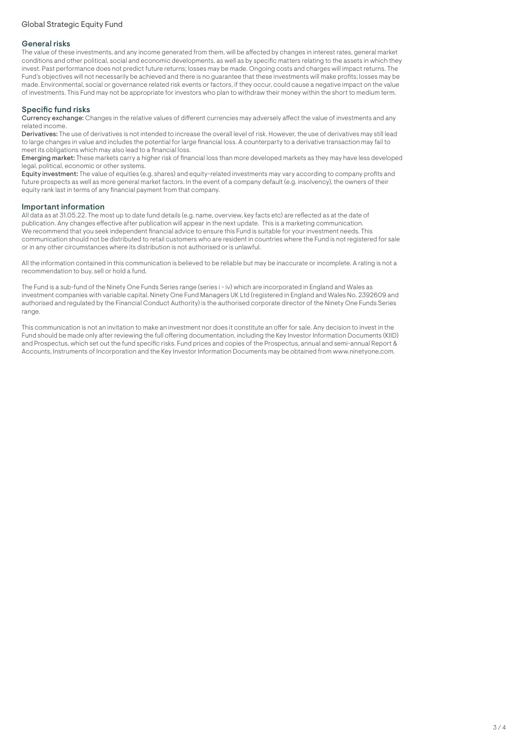# General risks

The value of these investments, and any income generated from them, will be affected by changes in interest rates, general market conditions and other political, social and economic developments, as well as by specific matters relating to the assets in which they invest. Past performance does not predict future returns; losses may be made. Ongoing costs and charges will impact returns. The Fund's objectives will not necessarily be achieved and there is no guarantee that these investments will make profits; losses may be made. Environmental, social or governance related risk events or factors, if they occur, could cause a negative impact on the value of investments. This Fund may not be appropriate for investors who plan to withdraw their money within the short to medium term.

# Specific fund risks

Currency exchange: Changes in the relative values of different currencies may adversely affect the value of investments and any related income.

Derivatives: The use of derivatives is not intended to increase the overall level of risk. However, the use of derivatives may still lead to large changes in value and includes the potential for large financial loss. A counterparty to a derivative transaction may fail to meet its obligations which may also lead to a financial loss.

Emerging market: These markets carry a higher risk of financial loss than more developed markets as they may have less developed legal, political, economic or other systems.

Equity investment: The value of equities (e.g. shares) and equity-related investments may vary according to company profits and future prospects as well as more general market factors. In the event of a company default (e.g. insolvency), the owners of their equity rank last in terms of any financial payment from that company.

# Important information

All data as at 31.05.22. The most up to date fund details (e.g. name, overview, key facts etc) are reflected as at the date of publication. Any changes effective after publication will appear in the next update. This is a marketing communication. We recommend that you seek independent financial advice to ensure this Fund is suitable for your investment needs. This communication should not be distributed to retail customers who are resident in countries where the Fund is not registered for sale or in any other circumstances where its distribution is not authorised or is unlawful.

All the information contained in this communication is believed to be reliable but may be inaccurate or incomplete. A rating is not a recommendation to buy, sell or hold a fund.

The Fund is a sub-fund of the Ninety One Funds Series range (series i - iv) which are incorporated in England and Wales as investment companies with variable capital. Ninety One Fund Managers UK Ltd (registered in England and Wales No. 2392609 and authorised and regulated by the Financial Conduct Authority) is the authorised corporate director of the Ninety One Funds Series range.

This communication is not an invitation to make an investment nor does it constitute an offer for sale. Any decision to invest in the Fund should be made only after reviewing the full offering documentation, including the Key Investor Information Documents (KIID) and Prospectus, which set out the fund specific risks. Fund prices and copies of the Prospectus, annual and semi-annual Report & Accounts, Instruments of Incorporation and the Key Investor Information Documents may be obtained from www.ninetyone.com.